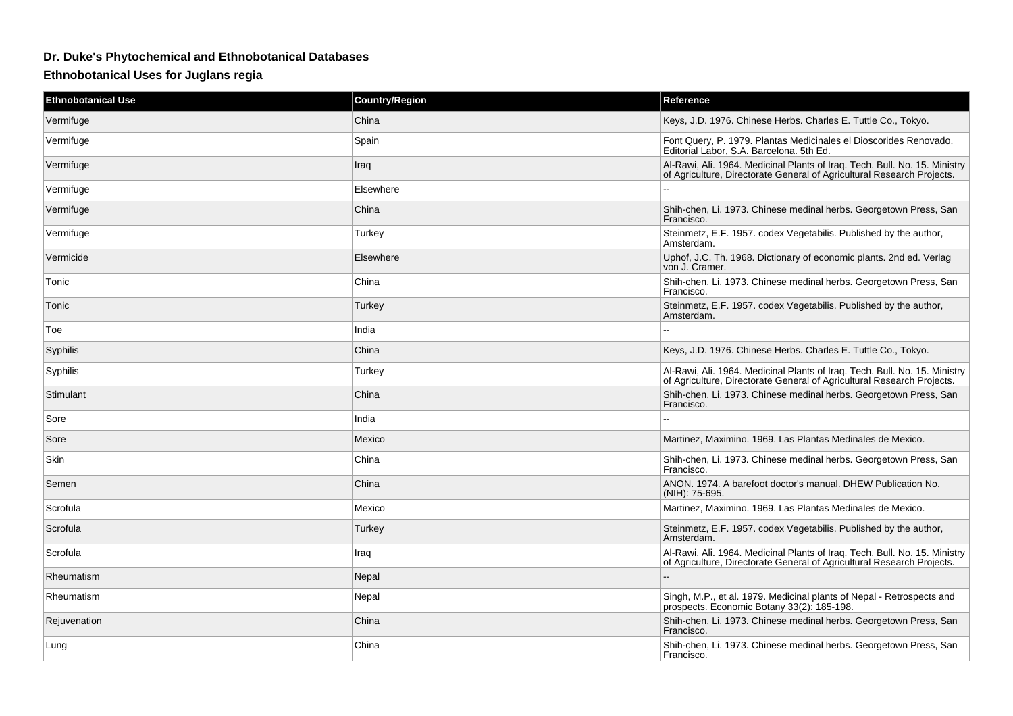## **Dr. Duke's Phytochemical and Ethnobotanical Databases**

**Ethnobotanical Uses for Juglans regia**

| <b>Ethnobotanical Use</b> | <b>Country/Region</b> | Reference                                                                                                                                            |
|---------------------------|-----------------------|------------------------------------------------------------------------------------------------------------------------------------------------------|
| Vermifuge                 | China                 | Keys, J.D. 1976. Chinese Herbs. Charles E. Tuttle Co., Tokyo.                                                                                        |
| Vermifuge                 | Spain                 | Font Query, P. 1979. Plantas Medicinales el Dioscorides Renovado.<br>Editorial Labor, S.A. Barcelona. 5th Ed.                                        |
| Vermifuge                 | Iraq                  | Al-Rawi, Ali. 1964. Medicinal Plants of Iraq. Tech. Bull. No. 15. Ministry<br>of Agriculture, Directorate General of Agricultural Research Projects. |
| Vermifuge                 | Elsewhere             |                                                                                                                                                      |
| Vermifuge                 | China                 | Shih-chen, Li. 1973. Chinese medinal herbs. Georgetown Press, San<br>Francisco.                                                                      |
| Vermifuge                 | Turkey                | Steinmetz, E.F. 1957. codex Vegetabilis. Published by the author,<br>Amsterdam.                                                                      |
| Vermicide                 | Elsewhere             | Uphof, J.C. Th. 1968. Dictionary of economic plants. 2nd ed. Verlag<br>von J. Cramer.                                                                |
| Tonic                     | China                 | Shih-chen, Li. 1973. Chinese medinal herbs. Georgetown Press, San<br>Francisco.                                                                      |
| Tonic                     | Turkey                | Steinmetz, E.F. 1957. codex Vegetabilis. Published by the author,<br>Amsterdam.                                                                      |
| Toe                       | India                 |                                                                                                                                                      |
| Syphilis                  | China                 | Keys, J.D. 1976. Chinese Herbs. Charles E. Tuttle Co., Tokyo.                                                                                        |
| Syphilis                  | Turkey                | Al-Rawi, Ali. 1964. Medicinal Plants of Iraq. Tech. Bull. No. 15. Ministry<br>of Agriculture, Directorate General of Agricultural Research Projects. |
| Stimulant                 | China                 | Shih-chen, Li. 1973. Chinese medinal herbs. Georgetown Press, San<br>Francisco.                                                                      |
| Sore                      | India                 |                                                                                                                                                      |
| Sore                      | Mexico                | Martinez, Maximino. 1969. Las Plantas Medinales de Mexico.                                                                                           |
| Skin                      | China                 | Shih-chen, Li. 1973. Chinese medinal herbs. Georgetown Press, San<br>Francisco.                                                                      |
| Semen                     | China                 | ANON. 1974. A barefoot doctor's manual. DHEW Publication No.<br>(NIH): 75-695.                                                                       |
| Scrofula                  | Mexico                | Martinez, Maximino. 1969. Las Plantas Medinales de Mexico.                                                                                           |
| Scrofula                  | Turkey                | Steinmetz, E.F. 1957. codex Vegetabilis. Published by the author,<br>Amsterdam.                                                                      |
| Scrofula                  | Iraq                  | Al-Rawi, Ali. 1964. Medicinal Plants of Iraq. Tech. Bull. No. 15. Ministry<br>of Agriculture, Directorate General of Agricultural Research Projects. |
| Rheumatism                | Nepal                 |                                                                                                                                                      |
| Rheumatism                | Nepal                 | Singh, M.P., et al. 1979. Medicinal plants of Nepal - Retrospects and<br>prospects. Economic Botany 33(2): 185-198.                                  |
| Rejuvenation              | China                 | Shih-chen, Li. 1973. Chinese medinal herbs. Georgetown Press, San<br>Francisco.                                                                      |
| Lung                      | China                 | Shih-chen, Li. 1973. Chinese medinal herbs. Georgetown Press, San<br>Francisco.                                                                      |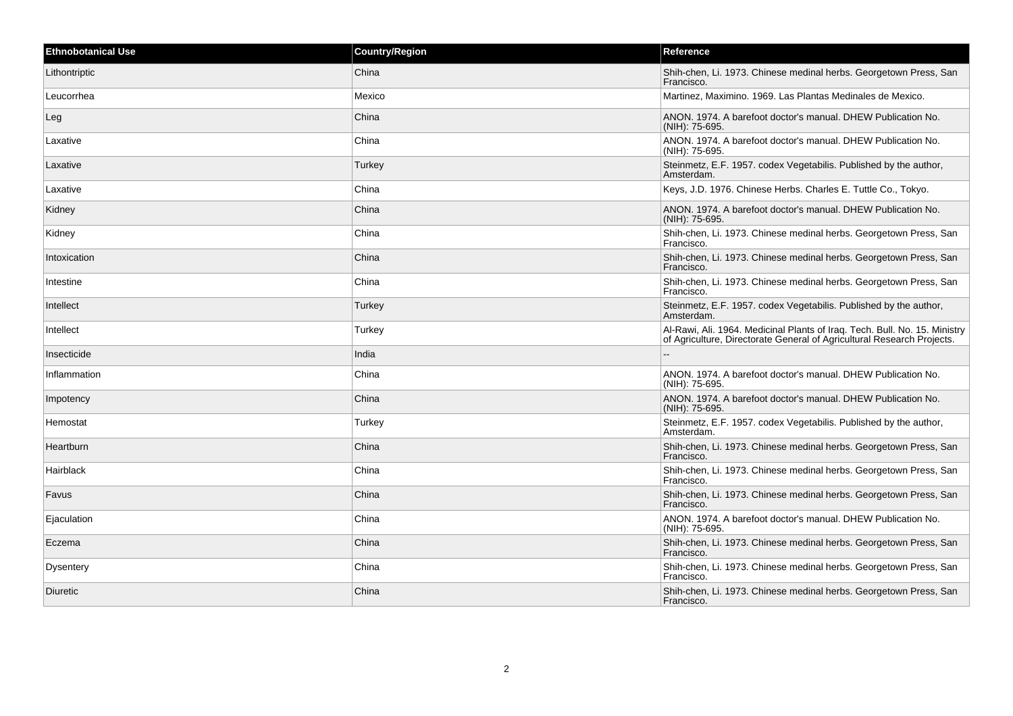| <b>Ethnobotanical Use</b> | <b>Country/Region</b> | Reference                                                                                                                                            |
|---------------------------|-----------------------|------------------------------------------------------------------------------------------------------------------------------------------------------|
| Lithontriptic             | China                 | Shih-chen, Li. 1973. Chinese medinal herbs. Georgetown Press, San<br>Francisco.                                                                      |
| Leucorrhea                | Mexico                | Martinez, Maximino. 1969. Las Plantas Medinales de Mexico.                                                                                           |
| Leg                       | China                 | ANON. 1974. A barefoot doctor's manual. DHEW Publication No.<br>(NIH): 75-695.                                                                       |
| Laxative                  | China                 | ANON. 1974. A barefoot doctor's manual. DHEW Publication No.<br>(NIH): 75-695.                                                                       |
| Laxative                  | Turkey                | Steinmetz, E.F. 1957. codex Vegetabilis. Published by the author,<br>Amsterdam.                                                                      |
| Laxative                  | China                 | Keys, J.D. 1976. Chinese Herbs. Charles E. Tuttle Co., Tokyo.                                                                                        |
| Kidney                    | China                 | ANON. 1974. A barefoot doctor's manual. DHEW Publication No.<br>(NIH): 75-695.                                                                       |
| Kidney                    | China                 | Shih-chen, Li. 1973. Chinese medinal herbs. Georgetown Press, San<br>Francisco.                                                                      |
| Intoxication              | China                 | Shih-chen, Li. 1973. Chinese medinal herbs. Georgetown Press, San<br>Francisco.                                                                      |
| Intestine                 | China                 | Shih-chen, Li. 1973. Chinese medinal herbs. Georgetown Press, San<br>Francisco.                                                                      |
| Intellect                 | Turkey                | Steinmetz, E.F. 1957. codex Vegetabilis. Published by the author,<br>Amsterdam.                                                                      |
| Intellect                 | Turkey                | Al-Rawi, Ali. 1964. Medicinal Plants of Iraq. Tech. Bull. No. 15. Ministry<br>of Agriculture, Directorate General of Agricultural Research Projects. |
| Insecticide               | India                 |                                                                                                                                                      |
| Inflammation              | China                 | ANON. 1974. A barefoot doctor's manual. DHEW Publication No.<br>(NIH): 75-695.                                                                       |
| Impotency                 | China                 | ANON. 1974. A barefoot doctor's manual. DHEW Publication No.<br>(NIH): 75-695.                                                                       |
| Hemostat                  | Turkey                | Steinmetz, E.F. 1957. codex Vegetabilis. Published by the author,<br>Amsterdam.                                                                      |
| Heartburn                 | China                 | Shih-chen, Li. 1973. Chinese medinal herbs. Georgetown Press, San<br>Francisco.                                                                      |
| Hairblack                 | China                 | Shih-chen, Li. 1973. Chinese medinal herbs. Georgetown Press, San<br>Francisco.                                                                      |
| Favus                     | China                 | Shih-chen, Li. 1973. Chinese medinal herbs. Georgetown Press, San<br>Francisco.                                                                      |
| Ejaculation               | China                 | ANON. 1974. A barefoot doctor's manual. DHEW Publication No.<br>(NIH): 75-695.                                                                       |
| Eczema                    | China                 | Shih-chen, Li. 1973. Chinese medinal herbs. Georgetown Press, San<br>Francisco.                                                                      |
| Dysentery                 | China                 | Shih-chen, Li. 1973. Chinese medinal herbs. Georgetown Press, San<br>Francisco.                                                                      |
| Diuretic                  | China                 | Shih-chen, Li. 1973. Chinese medinal herbs. Georgetown Press, San<br>Francisco.                                                                      |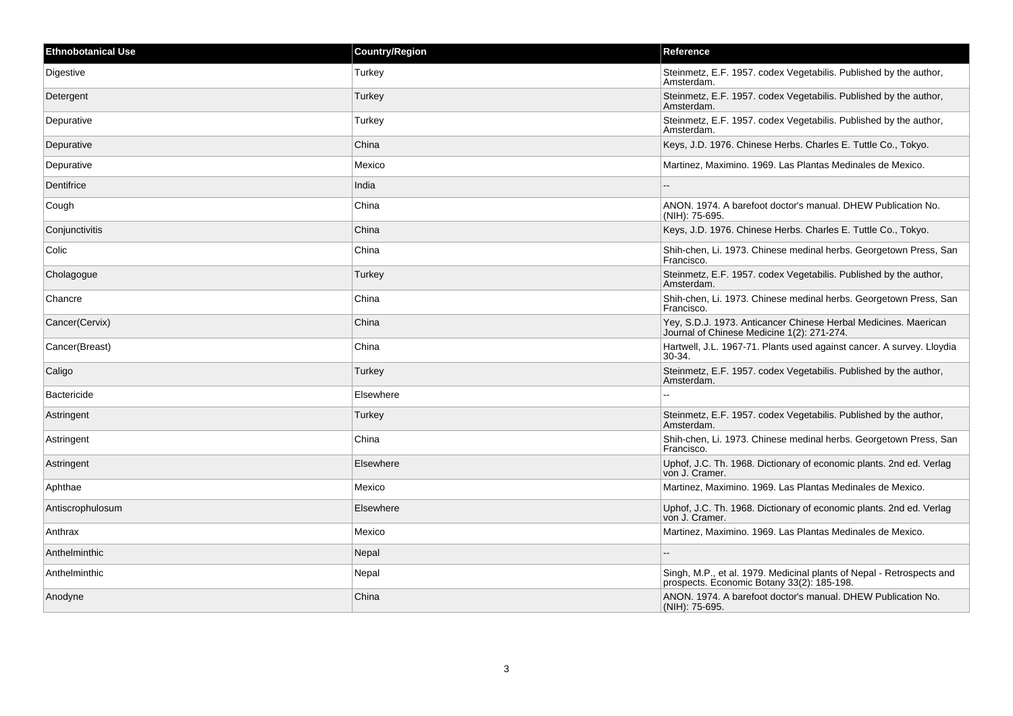| <b>Ethnobotanical Use</b> | <b>Country/Region</b> | Reference                                                                                                           |
|---------------------------|-----------------------|---------------------------------------------------------------------------------------------------------------------|
| Digestive                 | Turkey                | Steinmetz, E.F. 1957. codex Vegetabilis. Published by the author,<br>Amsterdam.                                     |
| Detergent                 | Turkey                | Steinmetz, E.F. 1957. codex Vegetabilis. Published by the author,<br>Amsterdam.                                     |
| Depurative                | Turkey                | Steinmetz, E.F. 1957. codex Vegetabilis. Published by the author,<br>Amsterdam.                                     |
| Depurative                | China                 | Keys, J.D. 1976. Chinese Herbs. Charles E. Tuttle Co., Tokyo.                                                       |
| Depurative                | Mexico                | Martinez, Maximino. 1969. Las Plantas Medinales de Mexico.                                                          |
| Dentifrice                | India                 |                                                                                                                     |
| Cough                     | China                 | ANON. 1974. A barefoot doctor's manual. DHEW Publication No.<br>(NIH): 75-695.                                      |
| Conjunctivitis            | China                 | Keys, J.D. 1976. Chinese Herbs. Charles E. Tuttle Co., Tokyo.                                                       |
| Colic                     | China                 | Shih-chen, Li. 1973. Chinese medinal herbs. Georgetown Press, San<br>Francisco.                                     |
| Cholagogue                | Turkey                | Steinmetz, E.F. 1957. codex Vegetabilis. Published by the author,<br>Amsterdam.                                     |
| Chancre                   | China                 | Shih-chen, Li. 1973. Chinese medinal herbs. Georgetown Press, San<br>Francisco.                                     |
| Cancer(Cervix)            | China                 | Yey, S.D.J. 1973. Anticancer Chinese Herbal Medicines. Maerican<br>Journal of Chinese Medicine 1(2): 271-274.       |
| Cancer(Breast)            | China                 | Hartwell, J.L. 1967-71. Plants used against cancer. A survey. Lloydia<br>30-34.                                     |
| Caligo                    | Turkey                | Steinmetz, E.F. 1957. codex Vegetabilis. Published by the author,<br>Amsterdam.                                     |
| <b>Bactericide</b>        | Elsewhere             | $\sim$                                                                                                              |
| Astringent                | Turkey                | Steinmetz, E.F. 1957. codex Vegetabilis. Published by the author,<br>Amsterdam.                                     |
| Astringent                | China                 | Shih-chen, Li. 1973. Chinese medinal herbs. Georgetown Press, San<br>Francisco.                                     |
| Astringent                | Elsewhere             | Uphof, J.C. Th. 1968. Dictionary of economic plants. 2nd ed. Verlag<br>von J. Cramer.                               |
| Aphthae                   | Mexico                | Martinez, Maximino. 1969. Las Plantas Medinales de Mexico.                                                          |
| Antiscrophulosum          | Elsewhere             | Uphof, J.C. Th. 1968. Dictionary of economic plants. 2nd ed. Verlag<br>von J. Cramer.                               |
| Anthrax                   | Mexico                | Martinez, Maximino. 1969. Las Plantas Medinales de Mexico.                                                          |
| Anthelminthic             | Nepal                 |                                                                                                                     |
| Anthelminthic             | Nepal                 | Singh, M.P., et al. 1979. Medicinal plants of Nepal - Retrospects and<br>prospects. Economic Botany 33(2): 185-198. |
| Anodyne                   | China                 | ANON. 1974. A barefoot doctor's manual. DHEW Publication No.<br>(NIH): 75-695.                                      |